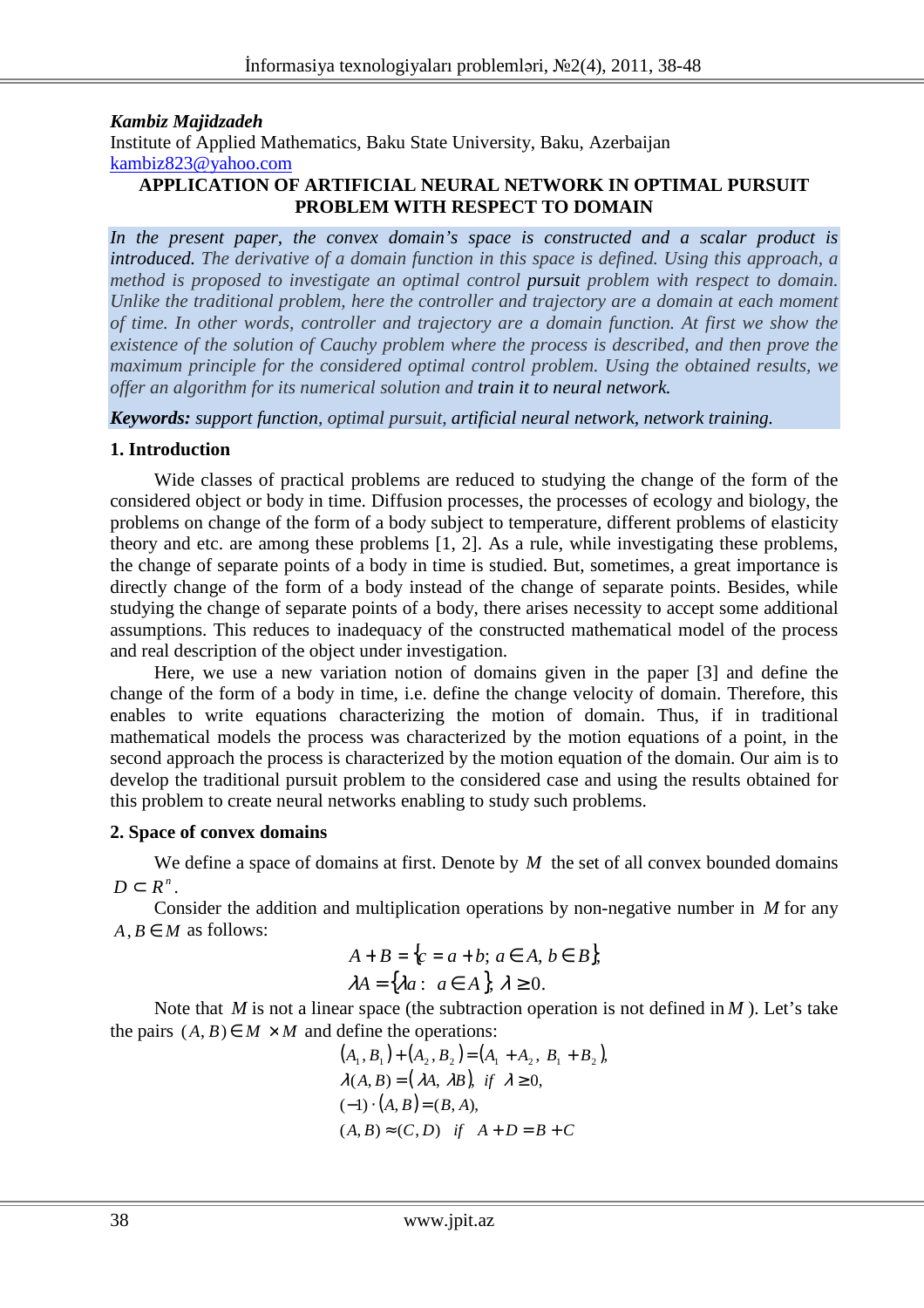### *Kambiz Majidzadeh*

Institute of Applied Mathematics, Baku State University, Baku, Azerbaijan kambiz823@yahoo.com

### **APPLICATION OF ARTIFICIAL NEURAL NETWORK IN OPTIMAL PURSUIT PROBLEM WITH RESPECT TO DOMAIN**

*In the present paper, the convex domain's space is constructed and a scalar product is introduced. The derivative of a domain function in this space is defined. Using this approach, a method is proposed to investigate an optimal control pursuit problem with respect to domain. Unlike the traditional problem, here the controller and trajectory are a domain at each moment of time. In other words, controller and trajectory are a domain function. At first we show the existence of the solution of Cauchy problem where the process is described, and then prove the maximum principle for the considered optimal control problem. Using the obtained results, we offer an algorithm for its numerical solution and train it to neural network.* 

*Keywords: support function, optimal pursuit, artificial neural network, network training.*

## **1. Introduction**

Wide classes of practical problems are reduced to studying the change of the form of the considered object or body in time. Diffusion processes, the processes of ecology and biology, the problems on change of the form of a body subject to temperature, different problems of elasticity theory and etc. are among these problems [1, 2]. As a rule, while investigating these problems, the change of separate points of a body in time is studied. But, sometimes, a great importance is directly change of the form of a body instead of the change of separate points. Besides, while studying the change of separate points of a body, there arises necessity to accept some additional assumptions. This reduces to inadequacy of the constructed mathematical model of the process and real description of the object under investigation.

Here, we use a new variation notion of domains given in the paper [3] and define the change of the form of a body in time, i.e. define the change velocity of domain. Therefore, this enables to write equations characterizing the motion of domain. Thus, if in traditional mathematical models the process was characterized by the motion equations of a point, in the second approach the process is characterized by the motion equation of the domain. Our aim is to develop the traditional pursuit problem to the considered case and using the results obtained for this problem to create neural networks enabling to study such problems.

### **2. Space of convex domains**

We define a space of domains at first. Denote by *M* the set of all convex bounded domains  $D \subset R^n$ .

Consider the addition and multiplication operations by non-negative number in *M* for any  $A, B \in M$  as follows:

$$
A + B = \{c = a + b; a \in A, b \in B\},\
$$
  

$$
\lambda A = \{\lambda a: a \in A\}, \lambda \ge 0.
$$

Note that *M* is not a linear space (the subtraction operation is not defined in *M*). Let's take the pairs  $(A, B) \in M \times M$  and define the operations:

$$
(A_1, B_1) + (A_2, B_2) = (A_1 + A_2, B_1 + B_2),
$$
  
\n
$$
\lambda(A, B) = (\lambda A, \lambda B), \text{ if } \lambda \ge 0,
$$
  
\n
$$
(-1) \cdot (A, B) = (B, A),
$$
  
\n
$$
(A, B) \approx (C, D) \text{ if } A + D = B + C
$$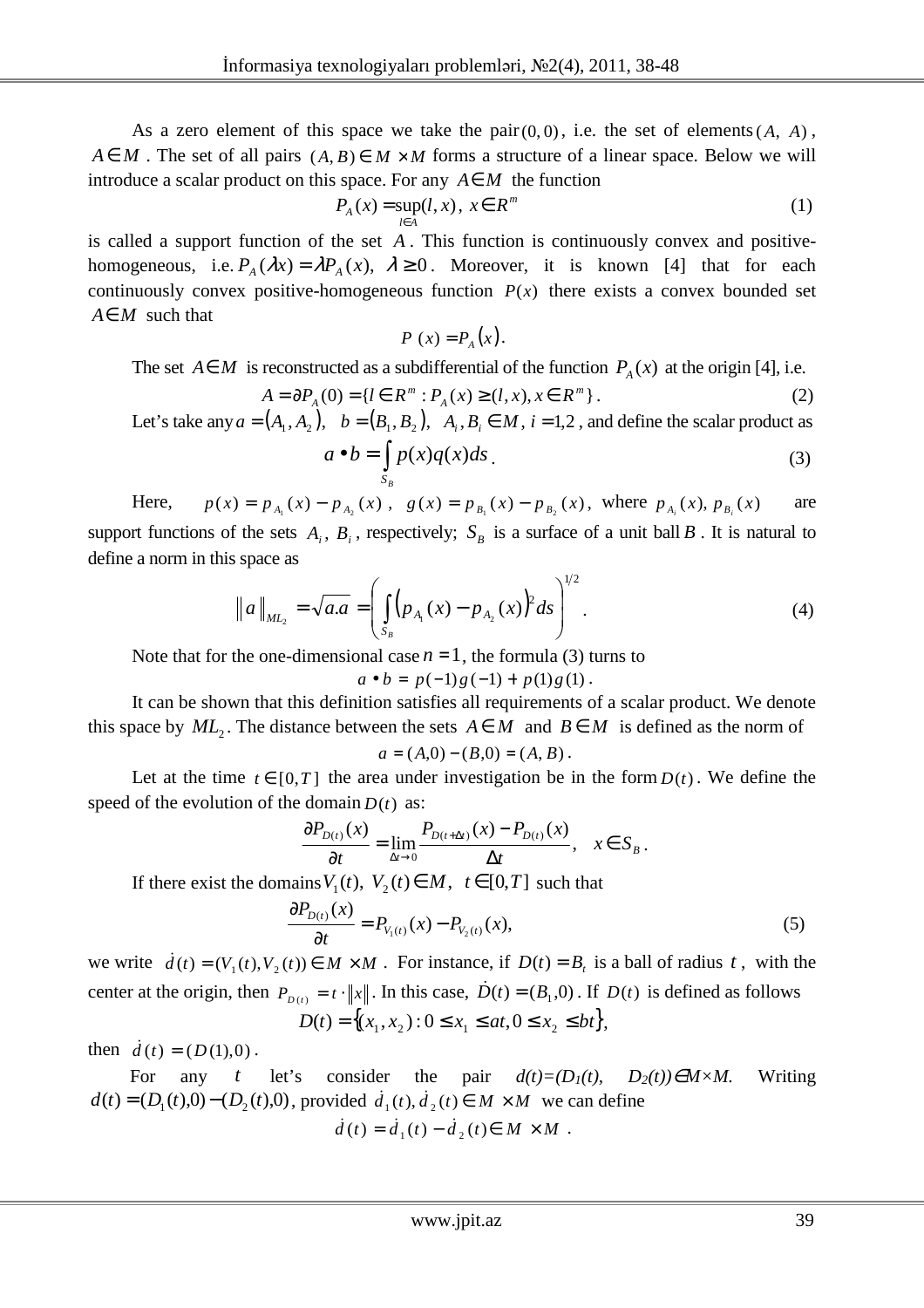As a zero element of this space we take the pair  $(0,0)$ , i.e. the set of elements  $(A, A)$ ,  $A \in M$ . The set of all pairs  $(A, B) \in M \times M$  forms a structure of a linear space. Below we will introduce a scalar product on this space. For any  $A \in M$  the function

$$
P_A(x) = \sup_{l \in A} (l, x), \ x \in R^m \tag{1}
$$

is called a support function of the set *A* . This function is continuously convex and positivehomogeneous, i.e.  $P_A(\lambda x) = \lambda P_A(x)$ ,  $\lambda \ge 0$ . Moreover, it is known [4] that for each continuously convex positive-homogeneous function  $P(x)$  there exists a convex bounded set *A*∈*M* such that

$$
P(x) = P_{A}(x).
$$

The set *A* ∈ *M* is reconstructed as a subdifferential of the function  $P_A(x)$  at the origin [4], i.e.

$$
A = \partial P_A(0) = \{ l \in R^m : P_A(x) \ge (l, x), x \in R^m \}.
$$
 (2)

Let's take any  $a = (A_1, A_2)$ ,  $b = (B_1, B_2)$ ,  $A_i, B_i \in M$ ,  $i = 1, 2$ , and define the scalar product as  $a \bullet b = \int p(x)q(x)ds$ . (3)

Here, 
$$
p(x) = p_{A_1}(x) - p_{A_2}(x)
$$
,  $g(x) = p_{B_1}(x) - p_{B_2}(x)$ , where  $p_{A_i}(x)$ ,  $p_{B_i}(x)$  are

 $1 \times 1$   $A_2 \times 7 \times 0 \times 7$   $1$   $B_1 \times 7$   $1$   $B_2$ support functions of the sets  $A_i$ ,  $B_i$ , respectively;  $S_B$  is a surface of a unit ball  $B$ . It is natural to define a norm in this space as

$$
\|a\|_{ML_2} = \sqrt{a.a} = \left(\int_{S_B} (p_{A_1}(x) - p_{A_2}(x))^2 ds\right)^{1/2}.
$$
 (4)

Note that for the one-dimensional case  $n = 1$ , the formula (3) turns to

 $a \bullet b = p(-1)g(-1) + p(1)g(1)$ .

It can be shown that this definition satisfies all requirements of a scalar product. We denote this space by  $ML_2$ . The distance between the sets  $A \in M$  and  $B \in M$  is defined as the norm of

$$
a = (A,0) - (B,0) = (A, B).
$$

Let at the time  $t \in [0,T]$  the area under investigation be in the form  $D(t)$ . We define the speed of the evolution of the domain  $D(t)$  as:

$$
\frac{\partial P_{D(t)}(x)}{\partial t} = \lim_{\Delta t \to 0} \frac{P_{D(t+\Delta t)}(x) - P_{D(t)}(x)}{\Delta t}, \quad x \in S_B.
$$

If there exist the domains  $V_1(t)$ ,  $V_2(t) \in M$ ,  $t \in [0, T]$  such that

$$
\frac{\partial P_{D(t)}(x)}{\partial t} = P_{V_1(t)}(x) - P_{V_2(t)}(x),\tag{5}
$$

we write  $\dot{d}(t) = (V_1(t), V_2(t)) \in M \times M$ . For instance, if  $D(t) = B_t$  is a ball of radius t, with the center at the origin, then  $P_{D(t)} = t \cdot ||x||$ . In this case,  $\dot{D}(t) = (B_1, 0)$ . If  $D(t)$  is defined as follows

$$
D(t) = \{(x_1, x_2) : 0 \le x_1 \le at, 0 \le x_2 \le bt\},\
$$

then  $\dot{d}(t) = (D(1),0)$ .

For any *t* let's consider the pair  $d(t)=(D_1(t), D_2(t))\in M\times M$ . Writing  $d(t) = (D_1(t),0) - (D_2(t),0)$ , provided  $d_1(t), d_2(t) \in M \times M$  we can define  $\dot{d}(t) = \dot{d}_1(t) - \dot{d}_2(t) \in M \times M$ .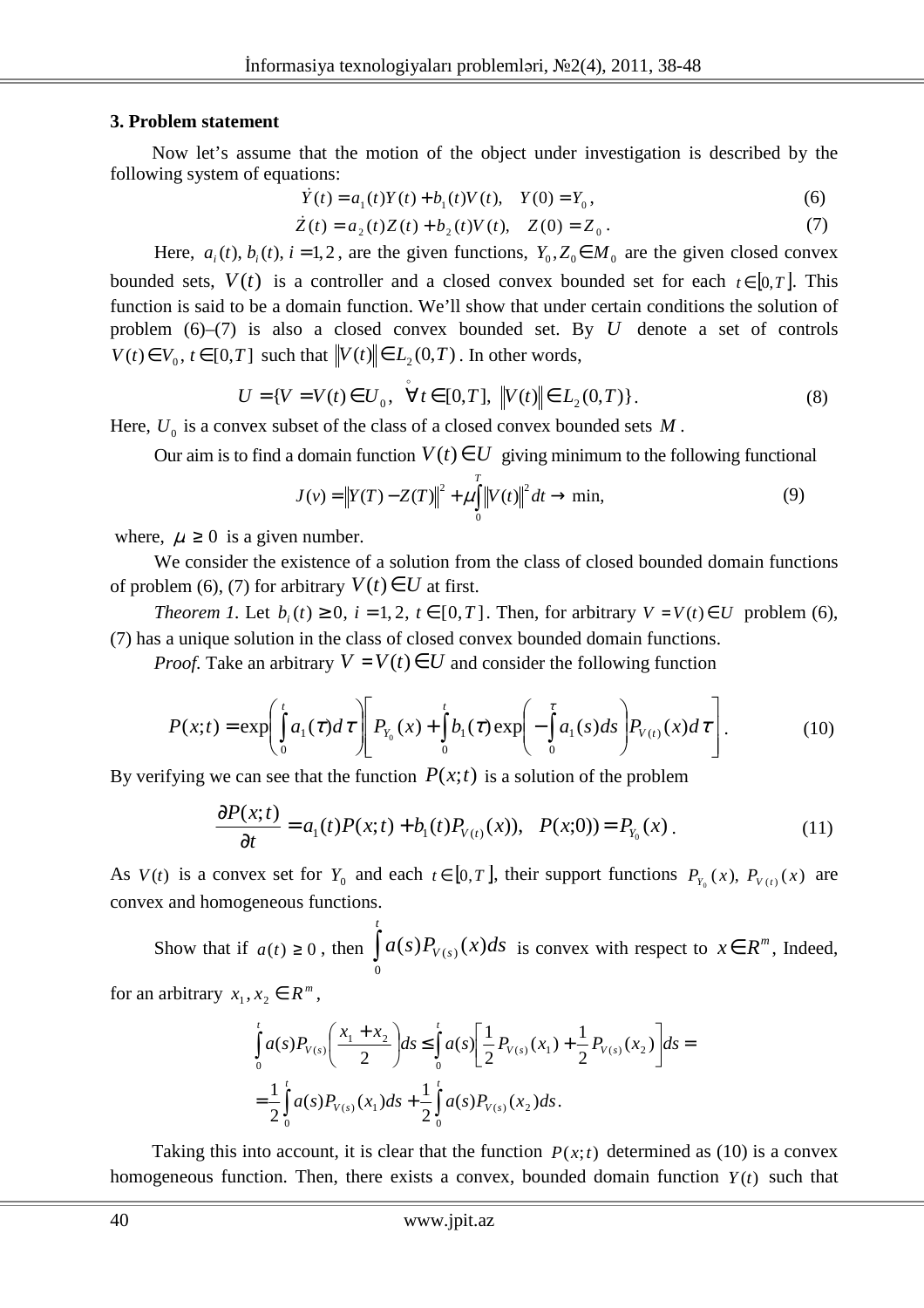#### **3. Problem statement**

Now let's assume that the motion of the object under investigation is described by the following system of equations:

$$
\dot{Y}(t) = a_1(t)Y(t) + b_1(t)V(t), \quad Y(0) = Y_0,
$$
\n(6)

$$
\dot{Z}(t) = a_2(t)Z(t) + b_2(t)V(t), \quad Z(0) = Z_0.
$$
 (7)

Here,  $a_i(t)$ ,  $b_i(t)$ ,  $i = 1, 2$ , are the given functions,  $Y_0, Z_0 \in M_0$  are the given closed convex bounded sets,  $V(t)$  is a controller and a closed convex bounded set for each  $t \in [0, T]$ . This function is said to be a domain function. We'll show that under certain conditions the solution of problem (6)–(7) is also a closed convex bounded set. By *U* denote a set of controls  $V(t) \in V_0$ ,  $t \in [0,T]$  such that  $\left\| V(t) \right\| \in L_2(0,T)$ . In other words,

$$
U = \{ V = V(t) \in U_0, \quad \forall t \in [0, T], \, \|V(t)\| \in L_2(0, T) \}.
$$
 (8)

Here,  $U_0$  is a convex subset of the class of a closed convex bounded sets  $M$ .

Our aim is to find a domain function  $V(t) \in U$  giving minimum to the following functional

$$
J(v) = ||Y(T) - Z(T)||^{2} + \mu \int_{0}^{T} ||V(t)||^{2} dt \rightarrow \min,
$$
\n(9)

where,  $\mu \geq 0$  is a given number.

We consider the existence of a solution from the class of closed bounded domain functions of problem (6), (7) for arbitrary  $V(t) \in U$  at first.

*Theorem 1.* Let  $b_i(t) \ge 0$ ,  $i = 1, 2$ ,  $t \in [0, T]$ . Then, for arbitrary  $V = V(t) \in U$  problem (6), (7) has a unique solution in the class of closed convex bounded domain functions.

*Proof.* Take an arbitrary  $V = V(t) \in U$  and consider the following function

$$
P(x;t) = \exp\left(\int_{0}^{t} a_{1}(\tau)d\tau\right)\left[P_{Y_{0}}(x) + \int_{0}^{t} b_{1}(\tau)\exp\left(-\int_{0}^{\tau} a_{1}(s)ds\right)P_{V(t)}(x) d\tau\right].
$$
 (10)

By verifying we can see that the function  $P(x; t)$  is a solution of the problem

$$
\frac{\partial P(x;t)}{\partial t} = a_1(t)P(x;t) + b_1(t)P_{V(t)}(x), \quad P(x;0) = P_{Y_0}(x) \tag{11}
$$

As  $V(t)$  is a convex set for  $Y_0$  and each  $t \in [0, T]$ , their support functions  $P_{Y_0}(x)$ ,  $P_{V(t)}(x)$  are convex and homogeneous functions.

Show that if *a*(*t*) ≥ 0, then  $\int$ *t*  $a(s)P_{V(s)}(x)ds$ 0  $(s)P_{V(s)}(x)ds$  is convex with respect to  $x \in R^m$ , Indeed, for an arbitrary  $x_1, x_2 \in R^m$ ,

$$
\int_{0}^{t} a(s) P_{V(s)}\left(\frac{x_{1} + x_{2}}{2}\right) ds \leq \int_{0}^{t} a(s) \left[\frac{1}{2} P_{V(s)}(x_{1}) + \frac{1}{2} P_{V(s)}(x_{2})\right] ds =
$$
\n
$$
= \frac{1}{2} \int_{0}^{t} a(s) P_{V(s)}(x_{1}) ds + \frac{1}{2} \int_{0}^{t} a(s) P_{V(s)}(x_{2}) ds.
$$

Taking this into account, it is clear that the function  $P(x;t)$  determined as (10) is a convex homogeneous function. Then, there exists a convex, bounded domain function  $Y(t)$  such that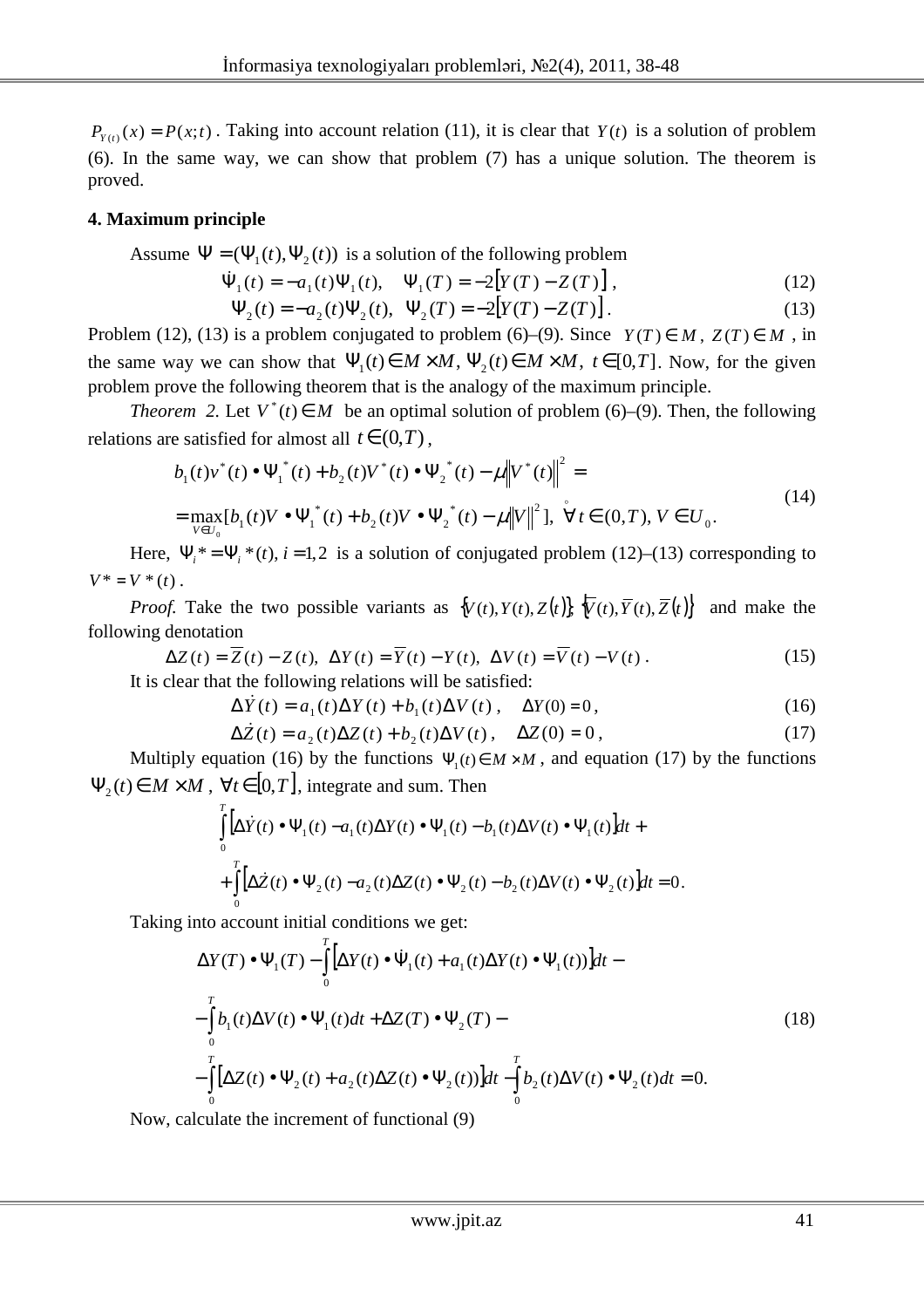$P_{Y(t)}(x) = P(x; t)$ . Taking into account relation (11), it is clear that  $Y(t)$  is a solution of problem (6). In the same way, we can show that problem (7) has a unique solution. The theorem is proved.

## **4. Maximum principle**

Assume  $\Psi = (\Psi_1(t), \Psi_2(t))$  is a solution of the following problem

$$
\dot{\Psi}_1(t) = -a_1(t)\Psi_1(t), \quad \Psi_1(T) = -2[Y(T) - Z(T)], \qquad (12)
$$

$$
\Psi_2(t) = -a_2(t)\Psi_2(t), \ \Psi_2(T) = -2[Y(T) - Z(T)]. \tag{13}
$$

Problem (12), (13) is a problem conjugated to problem (6)–(9). Since  $Y(T) \in M$ ,  $Z(T) \in M$ , in the same way we can show that  $\Psi_1(t) \in M \times M$ ,  $\Psi_2(t) \in M \times M$ ,  $t \in [0, T]$ . Now, for the given problem prove the following theorem that is the analogy of the maximum principle.

*Theorem* 2. Let  $V^*(t) \in M$  be an optimal solution of problem (6)–(9). Then, the following relations are satisfied for almost all  $t \in (0,T)$ ,

$$
b_1(t)v^*(t) \bullet \Psi_1^*(t) + b_2(t)V^*(t) \bullet \Psi_2^*(t) - \mu \|V^*(t)\|^2 =
$$
  
= 
$$
\max_{V \in U_0} [b_1(t)V \bullet \Psi_1^*(t) + b_2(t)V \bullet \Psi_2^*(t) - \mu \|V\|^2], \quad \forall t \in (0, T), V \in U_0.
$$
 (14)

Here,  $\Psi_i^* = \Psi_i^*(t)$ ,  $i = 1, 2$  is a solution of conjugated problem (12)–(13) corresponding to  $V^* = V^*(t)$ .

*Proof.* Take the two possible variants as  $\{V(t), Y(t), Z(t)\}$ ,  $\overline{V}(t), \overline{Y}(t), \overline{Z}(t)\}$  and make the following denotation

$$
\Delta Z(t) = \overline{Z}(t) - Z(t), \ \Delta Y(t) = \overline{Y}(t) - Y(t), \ \Delta V(t) = \overline{V}(t) - V(t).
$$
\nIt is clear that the following relations will be satisfied:

\n(15)

It is clear that the following relations will be satisfied:

$$
\Delta \dot{Y}(t) = a_1(t)\Delta Y(t) + b_1(t)\Delta V(t), \quad \Delta Y(0) = 0,
$$
\n(16)

$$
\Delta Z(t) = a_2(t)\Delta Z(t) + b_2(t)\Delta V(t), \quad \Delta Z(0) = 0,
$$
\n(17)

Multiply equation (16) by the functions  $\Psi_1(t) \in M \times M$ , and equation (17) by the functions  $\Psi_2(t) \in M \times M$ ,  $\forall t \in [0, T]$ , integrate and sum. Then

$$
\int_{0}^{T} \left[ \Delta \dot{Y}(t) \bullet \Psi_{1}(t) - a_{1}(t) \Delta Y(t) \bullet \Psi_{1}(t) - b_{1}(t) \Delta V(t) \bullet \Psi_{1}(t) \right] dt +
$$
\n
$$
+ \int_{0}^{T} \left[ \Delta \dot{Z}(t) \bullet \Psi_{2}(t) - a_{2}(t) \Delta Z(t) \bullet \Psi_{2}(t) - b_{2}(t) \Delta V(t) \bullet \Psi_{2}(t) \right] dt = 0.
$$

Taking into account initial conditions we get:

$$
\Delta Y(T) \bullet \Psi_1(T) - \int_0^T \Big[ \Delta Y(t) \bullet \dot{\Psi}_1(t) + a_1(t) \Delta Y(t) \bullet \Psi_1(t) \Big] dt -
$$
  

$$
- \int_0^T b_1(t) \Delta V(t) \bullet \Psi_1(t) dt + \Delta Z(T) \bullet \Psi_2(T) -
$$
  

$$
- \int_0^T \Big[ \Delta Z(t) \bullet \Psi_2(t) + a_2(t) \Delta Z(t) \bullet \Psi_2(t) \Big] dt - \int_0^T b_2(t) \Delta V(t) \bullet \Psi_2(t) dt = 0.
$$
 (18)

Now, calculate the increment of functional (9)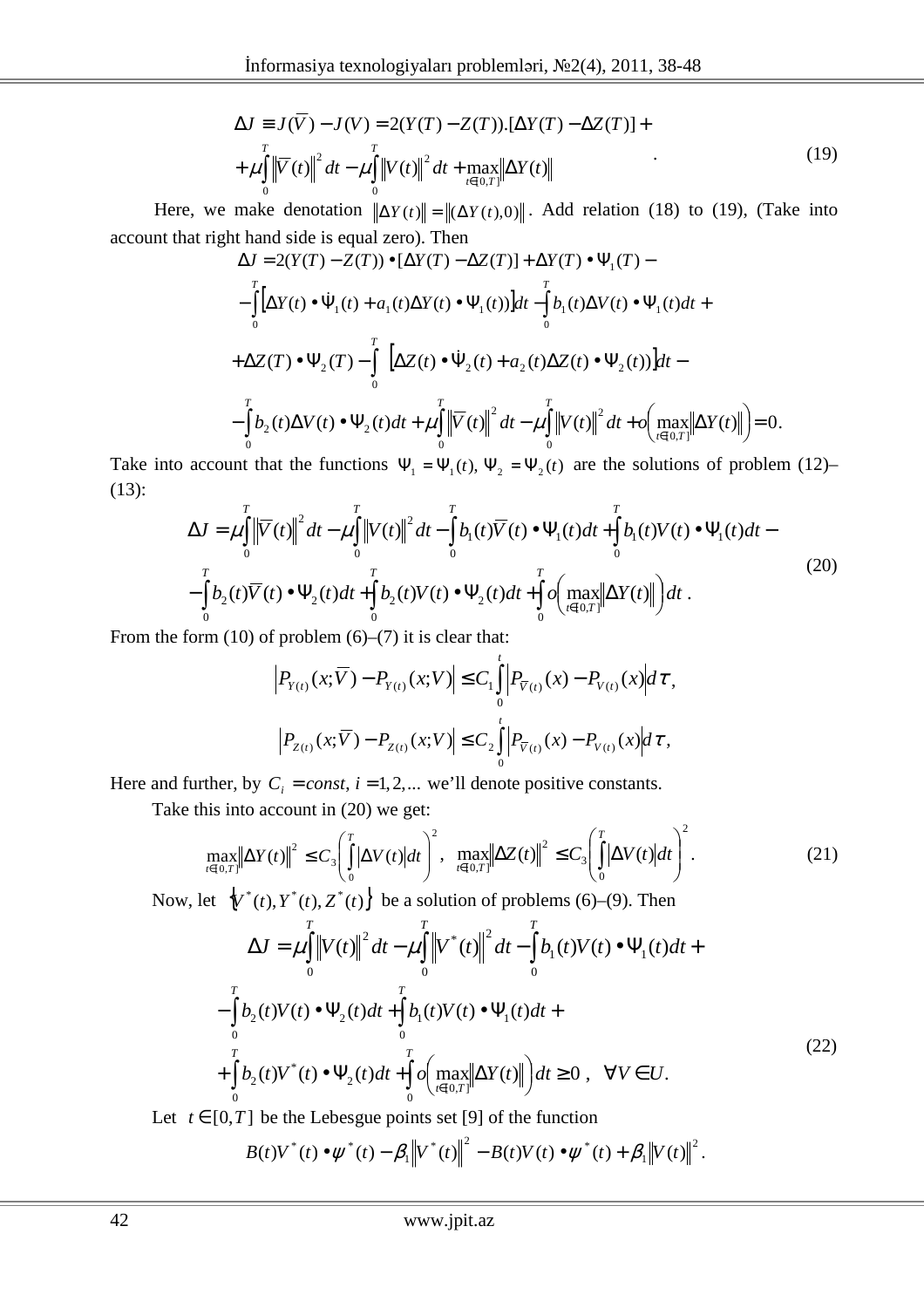$$
\Delta J \equiv J(\overline{V}) - J(V) = 2(Y(T) - Z(T)).[\Delta Y(T) - \Delta Z(T)] +
$$
  
+  $\mu \int_{0}^{T} ||\overline{V}(t)||^{2} dt - \mu \int_{0}^{T} ||V(t)||^{2} dt + \max_{t \in [0,T]} ||\Delta Y(t)||$  (19)

Here, we make denotation  $\|\Delta Y(t)\| = \|(\Delta Y(t), 0)\|$ . Add relation (18) to (19), (Take into account that right hand side is equal zero). Then

$$
\Delta J = 2(Y(T) - Z(T)) \bullet [\Delta Y(T) - \Delta Z(T)] + \Delta Y(T) \bullet \Psi_1(T) -
$$
\n
$$
- \int_0^T [\Delta Y(t) \bullet \dot{\Psi}_1(t) + a_1(t)\Delta Y(t) \bullet \Psi_1(t)]dt - \int_0^T b_1(t)\Delta V(t) \bullet \Psi_1(t)dt +
$$
\n
$$
+ \Delta Z(T) \bullet \Psi_2(T) - \int_0^T [\Delta Z(t) \bullet \dot{\Psi}_2(t) + a_2(t)\Delta Z(t) \bullet \Psi_2(t)]dt -
$$
\n
$$
- \int_0^T b_2(t)\Delta V(t) \bullet \Psi_2(t)dt + \mu \int_0^T ||\nabla(t)||^2 dt - \mu \int_0^T ||V(t)||^2 dt + o\left(\max_{t \in [0,T]} ||\Delta Y(t)||\right) = 0.
$$

Take into account that the functions  $\Psi_1 = \Psi_1(t)$ ,  $\Psi_2 = \Psi_2(t)$  are the solutions of problem (12)– (13):

$$
\Delta J = \mu \int_{0}^{T} \left\| \overline{V}(t) \right\|^{2} dt - \mu \int_{0}^{T} \left\| V(t) \right\|^{2} dt - \int_{0}^{T} b_{1}(t) \overline{V}(t) \cdot \Psi_{1}(t) dt + \int_{0}^{T} b_{1}(t) V(t) \cdot \Psi_{1}(t) dt - \int_{0}^{T} b_{2}(t) \overline{V}(t) \cdot \Psi_{2}(t) dt + \int_{0}^{T} b_{2}(t) V(t) \cdot \Psi_{2}(t) dt + \int_{0}^{T} o \left( \max_{t \in [0, T]} \left\| \Delta Y(t) \right\| \right) dt
$$
\n(20)

From the form  $(10)$  of problem  $(6)$ – $(7)$  it is clear that:

$$
\left|P_{Y(t)}(x;\overline{V}) - P_{Y(t)}(x;V)\right| \leq C_1 \int_0^t \left|P_{\overline{V}(t)}(x) - P_{V(t)}(x)\right| d\tau,
$$
  

$$
\left|P_{Z(t)}(x;\overline{V}) - P_{Z(t)}(x;V)\right| \leq C_2 \int_0^t \left|P_{\overline{V}(t)}(x) - P_{V(t)}(x)\right| d\tau,
$$

Here and further, by  $C_i = const$ ,  $i = 1, 2,...$  we'll denote positive constants.

Take this into account in (20) we get:

$$
\max_{t\in[0,T]}\left\|\Delta Y(t)\right\|^2 \le C_3 \left(\int_0^T \left|\Delta V(t)\right| dt\right)^2, \quad \max_{t\in[0,T]}\left\|\Delta Z(t)\right\|^2 \le C_3 \left(\int_0^T \left|\Delta V(t)\right| dt\right)^2.
$$
\n(21)

Now, let  $\{V^*(t), Y^*(t), Z^*(t)\}\)$  be a solution of problems (6)–(9). Then

$$
\Delta J = \mu \int_{0}^{T} \left\| V(t) \right\|^{2} dt - \mu \int_{0}^{T} \left\| V^{*}(t) \right\|^{2} dt - \int_{0}^{T} b_{1}(t) V(t) \bullet \Psi_{1}(t) dt +
$$
  

$$
- \int_{0}^{T} b_{2}(t) V(t) \bullet \Psi_{2}(t) dt + \int_{0}^{T} b_{1}(t) V(t) \bullet \Psi_{1}(t) dt +
$$
  

$$
+ \int_{0}^{T} b_{2}(t) V^{*}(t) \bullet \Psi_{2}(t) dt + \int_{0}^{T} o\left( \max_{t \in [0, T]} \left\| \Delta Y(t) \right\| \right) dt \ge 0 , \quad \forall V \in U.
$$
 (22)  

$$
= \begin{bmatrix} 0 & T \end{bmatrix}
$$
 be the Lebesgue points set [0] of the function

Let  $t \in [0,T]$  be the Lebesgue points set [9] of the function

$$
B(t)V^{*}(t)\bullet\psi^{*}(t)-\beta_{1}\left\Vert V^{*}(t)\right\Vert ^{2}-B(t)V(t)\bullet\psi^{*}(t)+\beta_{1}\left\Vert V(t)\right\Vert ^{2}.
$$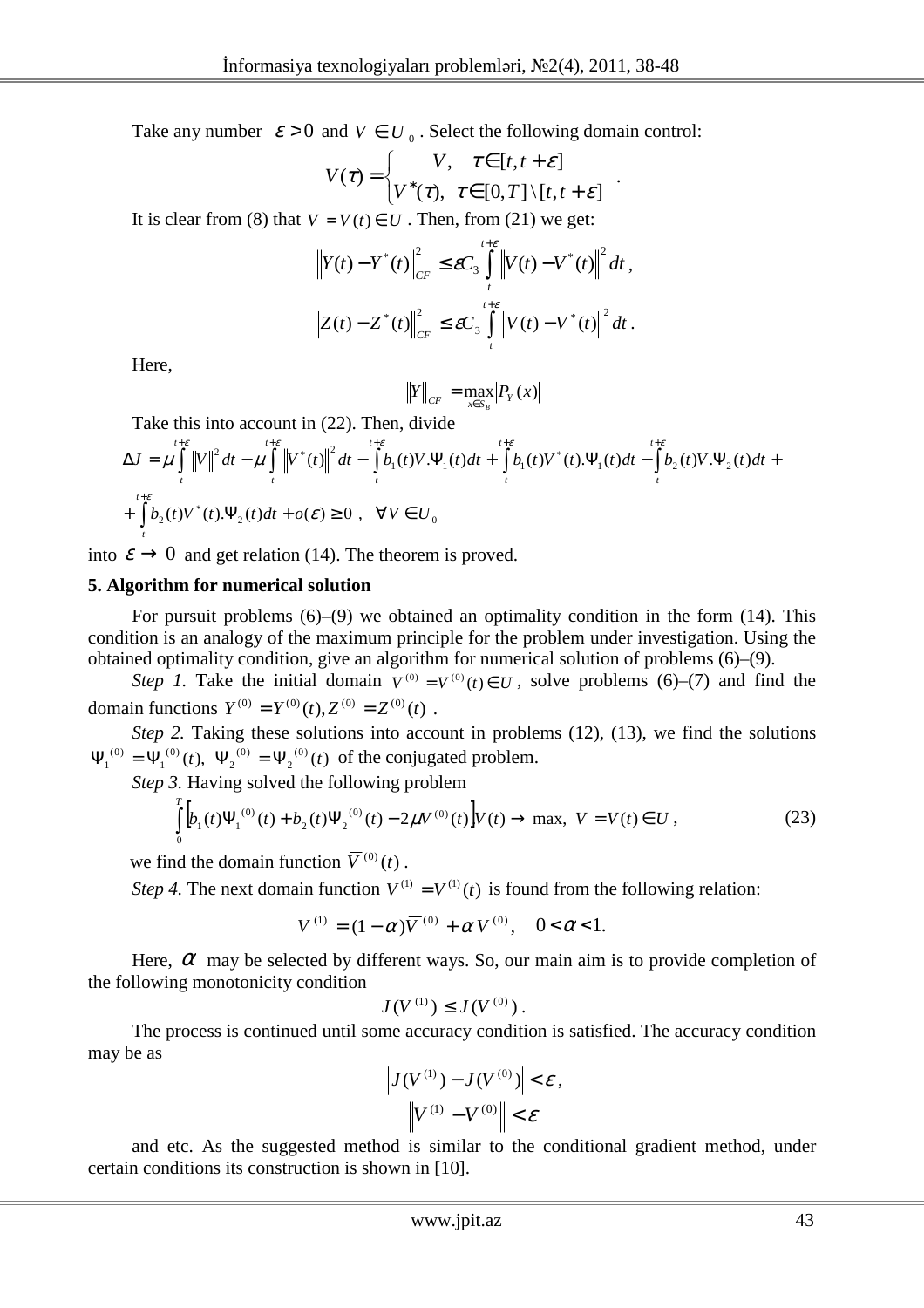Take any number  $\varepsilon > 0$  and  $V \in U_0$ . Select the following domain control:

$$
V(\tau) = \begin{cases} V, & \tau \in [t, t + \varepsilon] \\ V^*(\tau), & \tau \in [0, T] \setminus [t, t + \varepsilon] \end{cases}
$$

.

It is clear from (8) that  $V = V(t) \in U$ . Then, from (21) we get:

$$
\|Y(t) - Y^*(t)\|_{CF}^2 \le \varepsilon C_3 \int_{t}^{t+\varepsilon} \|V(t) - V^*(t)\|^2 dt,
$$
  

$$
\|Z(t) - Z^*(t)\|_{CF}^2 \le \varepsilon C_3 \int_{t}^{t+\varepsilon} \|V(t) - V^*(t)\|^2 dt.
$$

Here,

$$
||Y||_{CF} = \max_{x \in S_B} |P_Y(x)|
$$

Take this into account in (22). Then, divide

$$
\Delta J = \mu \int_{t}^{t+\varepsilon} \|V\|^2 dt - \mu \int_{t}^{t+\varepsilon} \left\|V^*(t)\right\|^2 dt - \int_{t}^{t+\varepsilon} b_1(t)V \cdot \Psi_1(t)dt + \int_{t}^{t+\varepsilon} b_1(t)V^*(t) \cdot \Psi_1(t)dt - \int_{t}^{t+\varepsilon} b_2(t)V \cdot \Psi_2(t)dt +
$$
  
+ 
$$
\int_{t}^{t+\varepsilon} b_2(t)V^*(t) \cdot \Psi_2(t)dt + o(\varepsilon) \ge 0 , \quad \forall V \in U_0
$$

into  $\varepsilon \to 0$  and get relation (14). The theorem is proved.

### **5. Algorithm for numerical solution**

For pursuit problems  $(6)$ – $(9)$  we obtained an optimality condition in the form  $(14)$ . This condition is an analogy of the maximum principle for the problem under investigation. Using the obtained optimality condition, give an algorithm for numerical solution of problems (6)–(9).

*Step 1*. Take the initial domain  $V^{(0)} = V^{(0)}(t) \in U$ , solve problems (6)–(7) and find the domain functions  $Y^{(0)} = Y^{(0)}(t), Z^{(0)} = Z^{(0)}(t)$ .

*Step 2.* Taking these solutions into account in problems (12), (13), we find the solutions  $(t)$ ,  $\Psi_2^{(0)} = \Psi_2^{(0)}(t)$ 2  $(0)$ 2  $(0)$ 1  $\Psi_1^{(0)} = \Psi_1^{(0)}(t)$ ,  $\Psi_2^{(0)} = \Psi_2^{(0)}(t)$  of the conjugated problem.

*Step 3.* Having solved the following problem

$$
\int_{0}^{T} \left[ b_{1}(t) \Psi_{1}^{(0)}(t) + b_{2}(t) \Psi_{2}^{(0)}(t) - 2\mu V^{(0)}(t) \right] V(t) \to \max, \ V = V(t) \in U,
$$
\n(23)

we find the domain function  $\overline{V}^{(0)}(t)$ .

*Step 4*. The next domain function  $V^{(1)} = V^{(1)}(t)$  is found from the following relation:

$$
V^{(1)} = (1 - \alpha)\overline{V}^{(0)} + \alpha V^{(0)}, \quad 0 < \alpha < 1.
$$

Here,  $\alpha$  may be selected by different ways. So, our main aim is to provide completion of the following monotonicity condition

$$
J(V^{(1)}) \leq J(V^{(0)})\,.
$$

The process is continued until some accuracy condition is satisfied. The accuracy condition may be as

$$
\left| J(V^{(1)}) - J(V^{(0)}) \right| < \varepsilon \,,
$$
\n
$$
\left\| V^{(1)} - V^{(0)} \right\| < \varepsilon
$$

and etc. As the suggested method is similar to the conditional gradient method, under certain conditions its construction is shown in [10].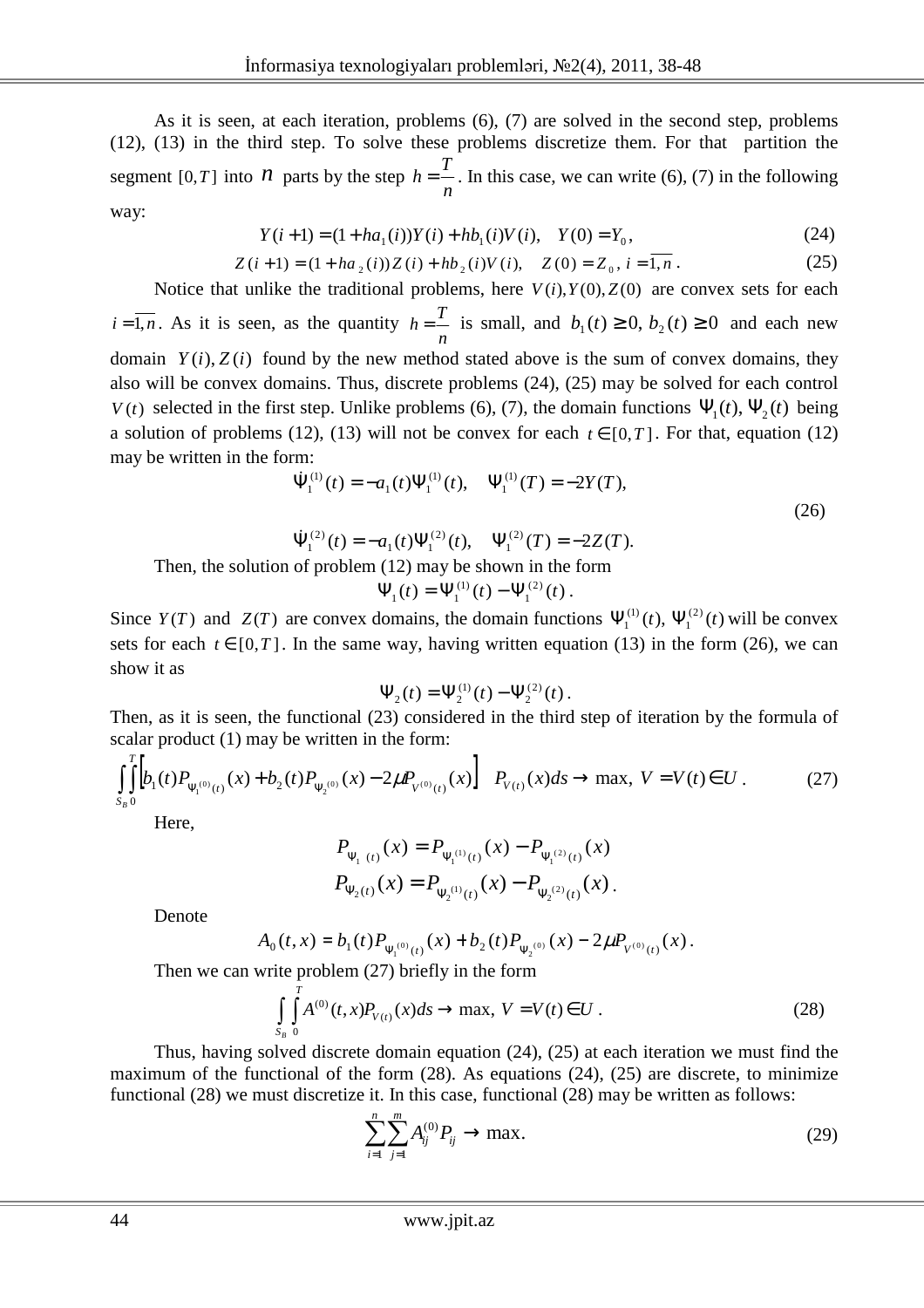As it is seen, at each iteration, problems (6), (7) are solved in the second step, problems (12), (13) in the third step. To solve these problems discretize them. For that partition the segment  $[0, T]$  into *n* parts by the step *n*  $h = \frac{T}{r}$ . In this case, we can write (6), (7) in the following way:

$$
Y(i+1) = (1 + ha_1(i))Y(i) + hb_1(i)V(i), \quad Y(0) = Y_0,
$$
\n(24)

$$
Z(i+1) = (1 + ha_2(i))Z(i) + hb_2(i)V(i), \quad Z(0) = Z_0, i = \overline{1, n}.
$$
 (25)

Notice that unlike the traditional problems, here  $V(i)$ , $Y(0)$ , $Z(0)$  are convex sets for each  $i = 1, n$ . As it is seen, as the quantity *n*  $h = \frac{T}{t}$  is small, and  $b_1(t) \ge 0$ ,  $b_2(t) \ge 0$  and each new domain  $Y(i)$ ,  $Z(i)$  found by the new method stated above is the sum of convex domains, they also will be convex domains. Thus, discrete problems (24), (25) may be solved for each control *V*(*t*) selected in the first step. Unlike problems (6), (7), the domain functions  $\Psi_1(t)$ ,  $\Psi_2(t)$  being a solution of problems (12), (13) will not be convex for each  $t \in [0,T]$ . For that, equation (12) may be written in the form:

$$
\dot{\Psi}_{1}^{(1)}(t) = -a_{1}(t)\Psi_{1}^{(1)}(t), \quad \Psi_{1}^{(1)}(T) = -2Y(T),
$$
\n(26)

$$
\dot{\Psi}_1^{(2)}(t) = -a_1(t)\Psi_1^{(2)}(t), \quad \Psi_1^{(2)}(T) = -2Z(T).
$$

Then, the solution of problem (12) may be shown in the form

$$
\Psi_1(t) = \Psi_1^{(1)}(t) - \Psi_1^{(2)}(t) .
$$

Since  $Y(T)$  and  $Z(T)$  are convex domains, the domain functions  $\Psi_1^{(1)}(t)$ ,  $\Psi_1^{(2)}(t)$ 1  $\Psi_1^{(1)}(t)$ ,  $\Psi_1^{(2)}(t)$  will be convex sets for each  $t \in [0,T]$ . In the same way, having written equation (13) in the form (26), we can show it as

$$
\Psi_2(t) = \Psi_2^{(1)}(t) - \Psi_2^{(2)}(t).
$$

Then, as it is seen, the functional (23) considered in the third step of iteration by the formula of scalar product (1) may be written in the form:

$$
\int_{S_B}^{T} \left[ b_1(t) P_{\Psi_1^{(0)}(t)}(x) + b_2(t) P_{\Psi_2^{(0)}}(x) - 2\mu P_{V^{(0)}(t)}(x) \right] P_{V(t)}(x) ds \to \max, \ V = V(t) \in U.
$$
 (27)

Here,

$$
P_{\Psi_1(t)}(x) = P_{\Psi_1^{(1)}(t)}(x) - P_{\Psi_1^{(2)}(t)}(x)
$$
  

$$
P_{\Psi_2(t)}(x) = P_{\Psi_2^{(1)}(t)}(x) - P_{\Psi_2^{(2)}(t)}(x).
$$

Denote

$$
A_0(t,x) = b_1(t) P_{\Psi_1^{(0)}(t)}(x) + b_2(t) P_{\Psi_2^{(0)}}(x) - 2\mu P_{V^{(0)}(t)}(x).
$$

Then we can write problem (27) briefly in the form

$$
\int_{S_B} \int_0^T A^{(0)}(t, x) P_{V(t)}(x) ds \to \max, \ V = V(t) \in U \ . \tag{28}
$$

Thus, having solved discrete domain equation (24), (25) at each iteration we must find the maximum of the functional of the form  $(28)$ . As equations  $(24)$ ,  $(25)$  are discrete, to minimize functional (28) we must discretize it. In this case, functional (28) may be written as follows:

$$
\sum_{i=1}^{n} \sum_{j=1}^{m} A_{ij}^{(0)} P_{ij} \to \max. \tag{29}
$$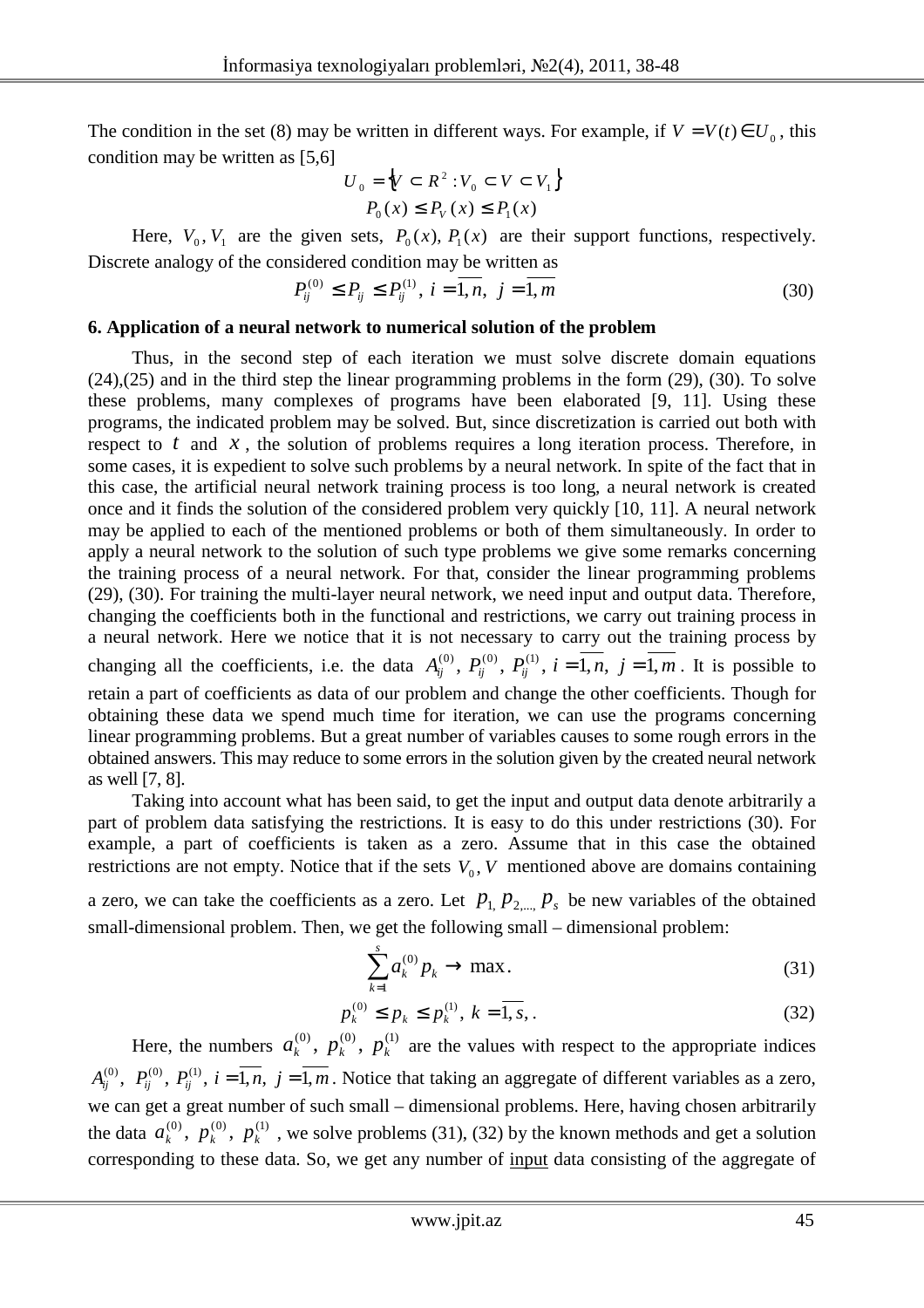The condition in the set (8) may be written in different ways. For example, if  $V = V(t) \in U_0$ , this condition may be written as [5,6]

$$
U_0 = \left\{ V \subset R^2 : V_0 \subset V \subset V_1 \right\}
$$
  

$$
P_0(x) \le P_V(x) \le P_1(x)
$$

Here,  $V_0$ ,  $V_1$  are the given sets,  $P_0(x)$ ,  $P_1(x)$  are their support functions, respectively. Discrete analogy of the considered condition may be written as

$$
P_{ij}^{(0)} \le P_{ij} \le P_{ij}^{(1)}, \ i = \overline{1, n}, \ j = \overline{1, m} \tag{30}
$$

#### **6. Application of a neural network to numerical solution of the problem**

Thus, in the second step of each iteration we must solve discrete domain equations (24),(25) and in the third step the linear programming problems in the form (29), (30). To solve these problems, many complexes of programs have been elaborated [9, 11]. Using these programs, the indicated problem may be solved. But, since discretization is carried out both with respect to *t* and *x*, the solution of problems requires a long iteration process. Therefore, in some cases, it is expedient to solve such problems by a neural network. In spite of the fact that in this case, the artificial neural network training process is too long, a neural network is created once and it finds the solution of the considered problem very quickly [10, 11]. A neural network may be applied to each of the mentioned problems or both of them simultaneously. In order to apply a neural network to the solution of such type problems we give some remarks concerning the training process of a neural network. For that, consider the linear programming problems (29), (30). For training the multi-layer neural network, we need input and output data. Therefore, changing the coefficients both in the functional and restrictions, we carry out training process in a neural network. Here we notice that it is not necessary to carry out the training process by changing all the coefficients, i.e. the data  $A_{ij}^{(0)}$ ,  $P_{ij}^{(0)}$ ,  $P_{ij}^{(1)}$ ,  $i = 1, n, j = 1, m$ . It is possible to retain a part of coefficients as data of our problem and change the other coefficients. Though for obtaining these data we spend much time for iteration, we can use the programs concerning linear programming problems. But a great number of variables causes to some rough errors in the obtained answers. This may reduce to some errors in the solution given by the created neural network as well [7, 8].

Taking into account what has been said, to get the input and output data denote arbitrarily a part of problem data satisfying the restrictions. It is easy to do this under restrictions (30). For example, a part of coefficients is taken as a zero. Assume that in this case the obtained restrictions are not empty. Notice that if the sets  $V_0$ ,  $V$  mentioned above are domains containing

a zero, we can take the coefficients as a zero. Let  $p_1, p_2, ..., p_s$  be new variables of the obtained small-dimensional problem. Then, we get the following small – dimensional problem:

$$
\sum_{k=1}^{s} a_k^{(0)} p_k \to \max. \tag{31}
$$

$$
p_k^{(0)} \le p_k \le p_k^{(1)}, \ k = \overline{1, s}, \tag{32}
$$

Here, the numbers  $a_k^{(0)}$ ,  $p_k^{(0)}$ ,  $p_k^{(1)}$  are the values with respect to the appropriate indices  $A_{ij}^{(0)}$ ,  $P_{ij}^{(0)}$ ,  $P_{ij}^{(1)}$ ,  $i = \overline{1, n}$ ,  $j = \overline{1, m}$ . Notice that taking an aggregate of different variables as a zero, we can get a great number of such small – dimensional problems. Here, having chosen arbitrarily the data  $a_k^{(0)}$ ,  $p_k^{(0)}$ ,  $p_k^{(1)}$ , we solve problems (31), (32) by the known methods and get a solution corresponding to these data. So, we get any number of input data consisting of the aggregate of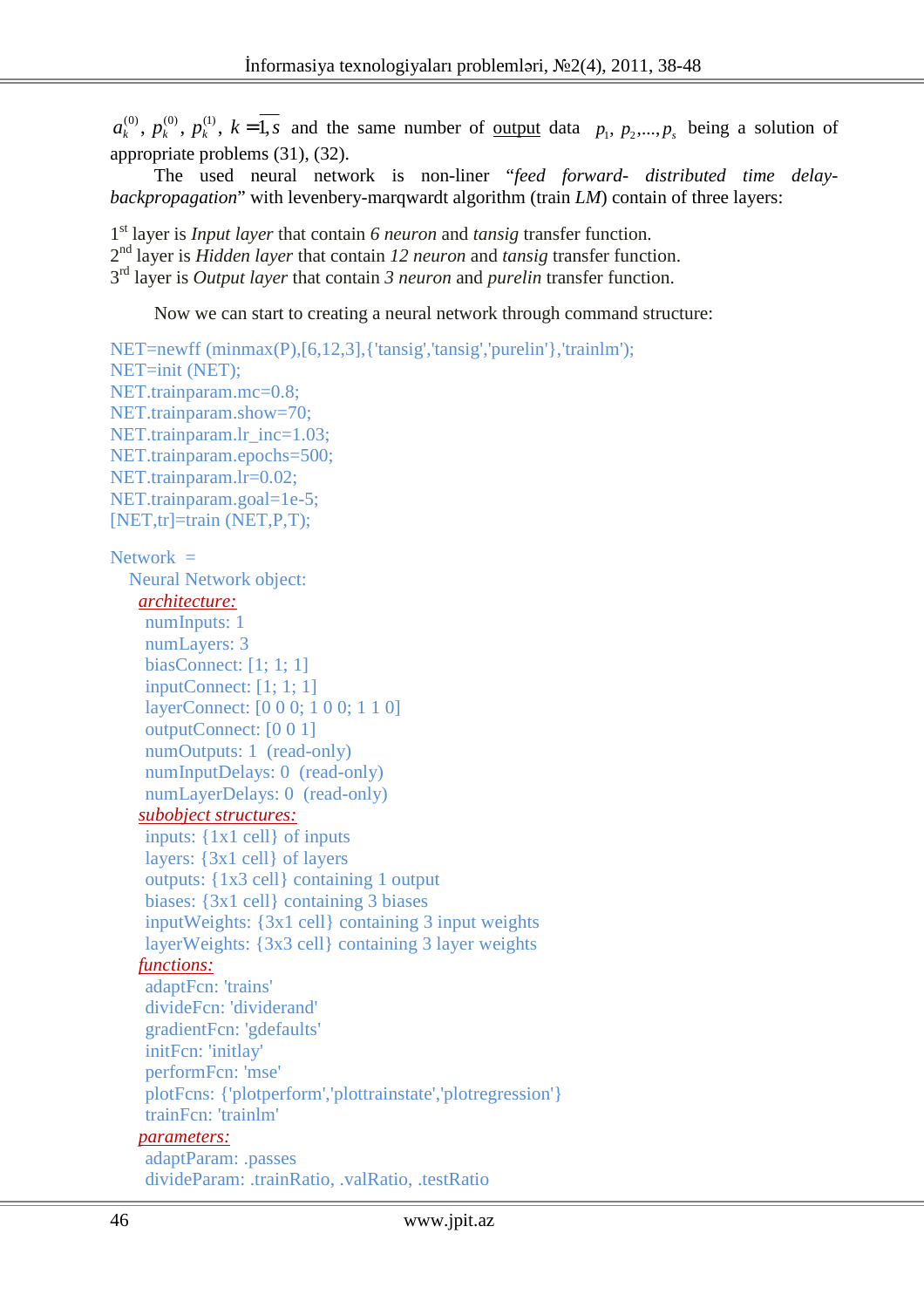$a_k^{(0)}$ ,  $p_k^{(0)}$ ,  $p_k^{(1)}$ ,  $k=1$ , *s* and the same number of <u>output</u> data  $p_1, p_2,..., p_s$  being a solution of appropriate problems (31), (32).

The used neural network is non-liner "*feed forward- distributed time delaybackpropagation*" with levenbery-marqwardt algorithm (train *LM*) contain of three layers:

1 st layer is *Input layer* that contain *6 neuron* and *tansig* transfer function. 2 nd layer is *Hidden layer* that contain *12 neuron* and *tansig* transfer function. 3 rd layer is *Output layer* that contain *3 neuron* and *purelin* transfer function.

Now we can start to creating a neural network through command structure:

```
NET=newff (minmax(P),[6,12,3],{'tansig','tansig','purelin'},'trainlm');
NET=init (NET); 
NET.trainparam.mc=0.8;
NET.trainparam.show=70; 
NET.trainparam.lr_inc=1.03;
NET.trainparam.epochs=500; 
NET.trainparam.lr=0.02; 
NET.trainparam.goal=1e-5;
[NET,tr]=train (NET,P,T); 
Network = Neural Network object: 
    architecture:
    numInputs: 1 
    numLayers: 3 
    biasConnect: [1; 1; 1] 
    inputConnect: [1; 1; 1] 
    layerConnect: [0 0 0; 1 0 0; 1 1 0] 
    outputConnect: [0 0 1] 
    numOutputs: 1 (read-only) 
    numInputDelays: 0 (read-only) 
    numLayerDelays: 0 (read-only) 
     subobject structures:
    inputs: {1x1 cell} of inputs 
    layers: {3x1 cell} of layers 
    outputs: {1x3 cell} containing 1 output 
    biases: {3x1 cell} containing 3 biases 
    inputWeights: {3x1 cell} containing 3 input weights
    layerWeights: {3x3 cell} containing 3 layer weights
    functions:
    adaptFcn: 'trains' 
    divideFcn: 'dividerand' 
    gradientFcn: 'gdefaults' 
    initFcn: 'initlay' 
    performFcn: 'mse' 
    plotFcns: {'plotperform','plottrainstate','plotregression'} 
    trainFcn: 'trainlm' 
     parameters:
    adaptParam: .passes 
    divideParam: .trainRatio, .valRatio, .testRatio
```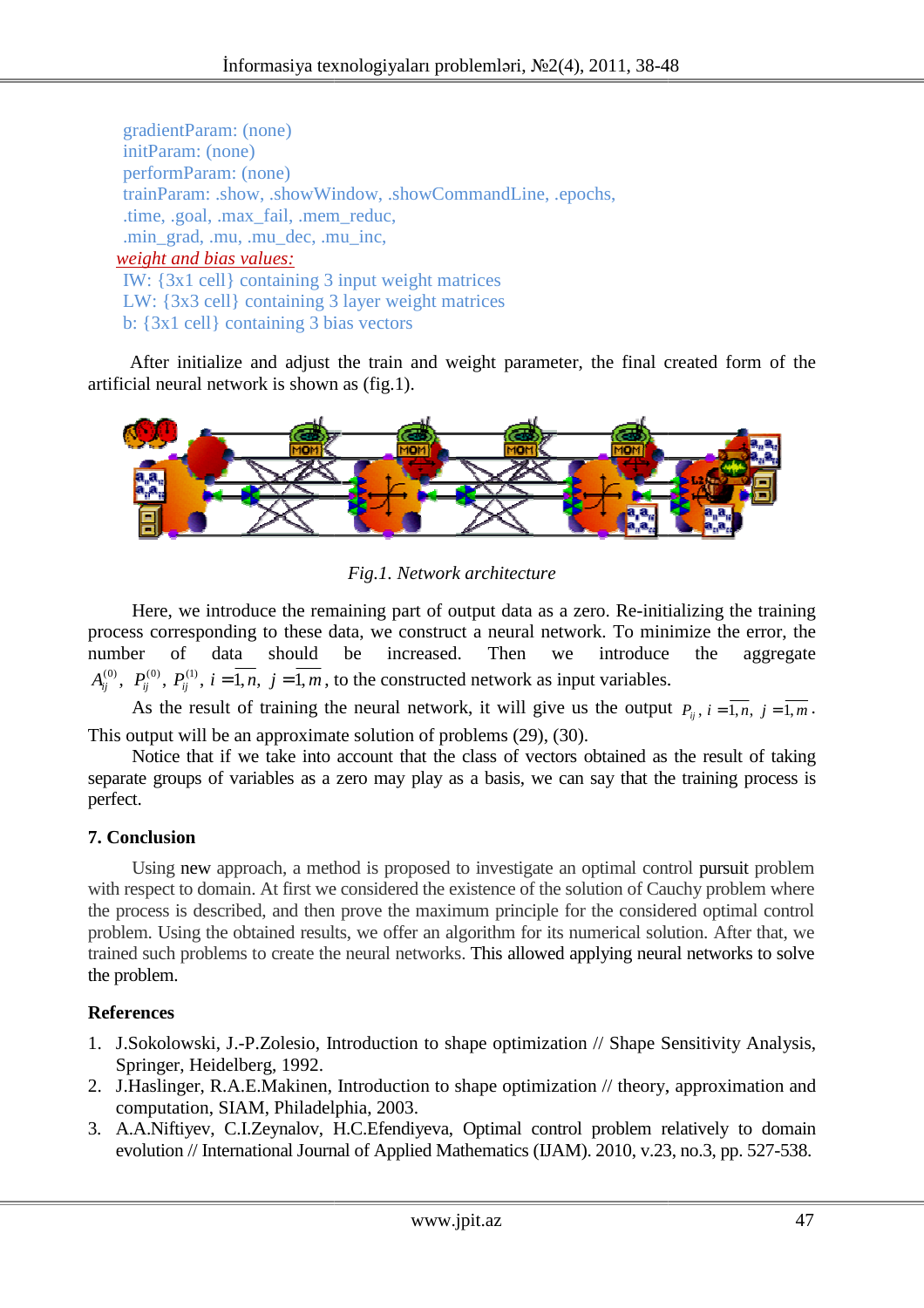gradientParam: (none) initParam: (none) performParam: (none) trainParam: .show, .showWindow, .showCommandLine, .epochs, .time, .goal, .max\_fail, .mem\_reduc, .min\_grad, .mu, .mu\_dec, .mu\_inc, *weight and bias values:* IW: {3x1 cell} containing 3 input weight matrices LW: {3x3 cell} containing 3 layer weight matrices

b: {3x1 cell} containing 3 bias vectors

After initialize and adjust the train and weight parameter, the final created form of the artificial neural network is shown as (fig.1).



*Fig.1. Network architecture*

Here, we introduce the remaining part of output data as a zero. Re-initializing the training process corresponding to these data, we construct a neural network. To minimize the error, the number of data should be increased. Then we introduce the aggregate  $A_{ij}^{(0)}$ ,  $P_{ij}^{(0)}$ ,  $P_{ij}^{(1)}$ ,  $i = 1, n, j = 1, m$ , to the constructed network as input variables.

As the result of training the neural network, it will give us the output  $P_{ij}$ ,  $i = \overline{1,n}$ ,  $j = \overline{1,m}$ . This output will be an approximate solution of problems (29), (30).

Notice that if we take into account that the class of vectors obtained as the result of taking separate groups of variables as a zero may play as a basis, we can say that the training process is perfect.

### **7. Conclusion**

Using new approach, a method is proposed to investigate an optimal control pursuit problem with respect to domain. At first we considered the existence of the solution of Cauchy problem where the process is described, and then prove the maximum principle for the considered optimal control the process is described, and then prove the maximum principle for the considered optimal control<br>problem. Using the obtained results, we offer an algorithm for its numerical solution. After that, we trained such problems to create the neural networks. This allowed applying neural networks to solve the problem.

# **References**

- 1. J.Sokolowski, J.-P.Zolesio, Introduction to shape optimization // Shape Sensitivity Analysis, Springer, Heidelberg, 1992.
- 2. J.Haslinger, R.A.E.Makinen, Introduction to shape optimization // theory, approximation computation, SIAM, Philadelphia, 2003. P.Zolesio, Introduction<br>)erg, 1992.<br>E.Makinen, Introduction<br>M, Philadelphia, 2003. approximation and
- 3. A.A.Niftiyev, C.I.Zeynalov, H.C.Efendiyeva, Optimal control problem relatively to domain evolution // International Journal of Applied Mathematics (IJAM). 2010, v.23, no.3, pp. 527-538.